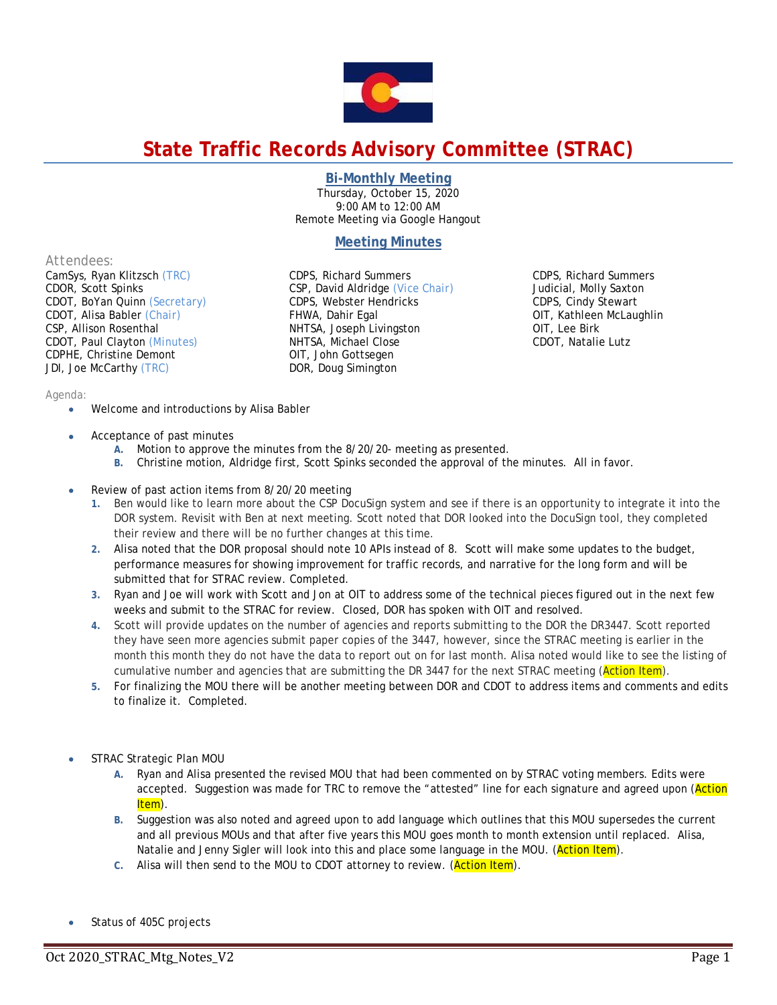

# **State Traffic Records Advisory Committee (STRAC)**

### **Bi-Monthly Meeting**

Thursday, October 15, 2020 9:00 AM to 12:00 AM Remote Meeting via Google Hangout

## **Meeting Minutes**

#### *Attendees:*

CamSys, Ryan Klitzsch *(TRC)*  CDOR, Scott Spinks CDOT, BoYan Quinn *(Secretary)* CDOT, Alisa Babler *(Chair)* CSP, Allison Rosenthal CDOT, Paul Clayton *(Minutes)*  CDPHE, Christine Demont JDI, Joe McCarthy *(TRC)* 

CDPS, Richard Summers CSP, David Aldridge *(Vice Chair)* CDPS, Webster Hendricks FHWA, Dahir Egal NHTSA, Joseph Livingston NHTSA, Michael Close OIT, John Gottsegen DOR, Doug Simington

CDPS, Richard Summers Judicial, Molly Saxton CDPS, Cindy Stewart OIT, Kathleen McLaughlin OIT, Lee Birk CDOT, Natalie Lutz

## *Agenda:*

- Welcome and introductions by Alisa Babler
- Acceptance of past minutes
	- **A.** Motion to approve the minutes from the 8/20/20- meeting as presented.
	- **B.** Christine motion, Aldridge first, Scott Spinks seconded the approval of the minutes. All in favor.
- Review of past action items from 8/20/20 meeting
	- **1.** Ben would like to learn more about the CSP DocuSign system and see if there is an opportunity to integrate it into the DOR system. Revisit with Ben at next meeting. Scott noted that DOR looked into the DocuSign tool, they completed their review and there will be no further changes at this time.
	- **2.** Alisa noted that the DOR proposal should note 10 APIs instead of 8. Scott will make some updates to the budget, performance measures for showing improvement for traffic records, and narrative for the long form and will be submitted that for STRAC review. Completed.
	- **3.** Ryan and Joe will work with Scott and Jon at OIT to address some of the technical pieces figured out in the next few weeks and submit to the STRAC for review. Closed, DOR has spoken with OIT and resolved.
	- **4.** Scott will provide updates on the number of agencies and reports submitting to the DOR the DR3447. Scott reported they have seen more agencies submit paper copies of the 3447, however, since the STRAC meeting is earlier in the month this month they do not have the data to report out on for last month. Alisa noted would like to see the listing of cumulative number and agencies that are submitting the DR 3447 for the next STRAC meeting (Action Item).
	- **5.** For finalizing the MOU there will be another meeting between DOR and CDOT to address items and comments and edits to finalize it. Completed.
- STRAC Strategic Plan MOU
	- **A.** Ryan and Alisa presented the revised MOU that had been commented on by STRAC voting members. Edits were accepted. Suggestion was made for TRC to remove the "attested" line for each signature and agreed upon (Action Item).
	- **B.** Suggestion was also noted and agreed upon to add language which outlines that this MOU supersedes the current and all previous MOUs and that after five years this MOU goes month to month extension until replaced. Alisa, Natalie and Jenny Sigler will look into this and place some language in the MOU. (Action Item).
	- **C.** Alisa will then send to the MOU to CDOT attorney to review. (Action Item).
- Status of 405C projects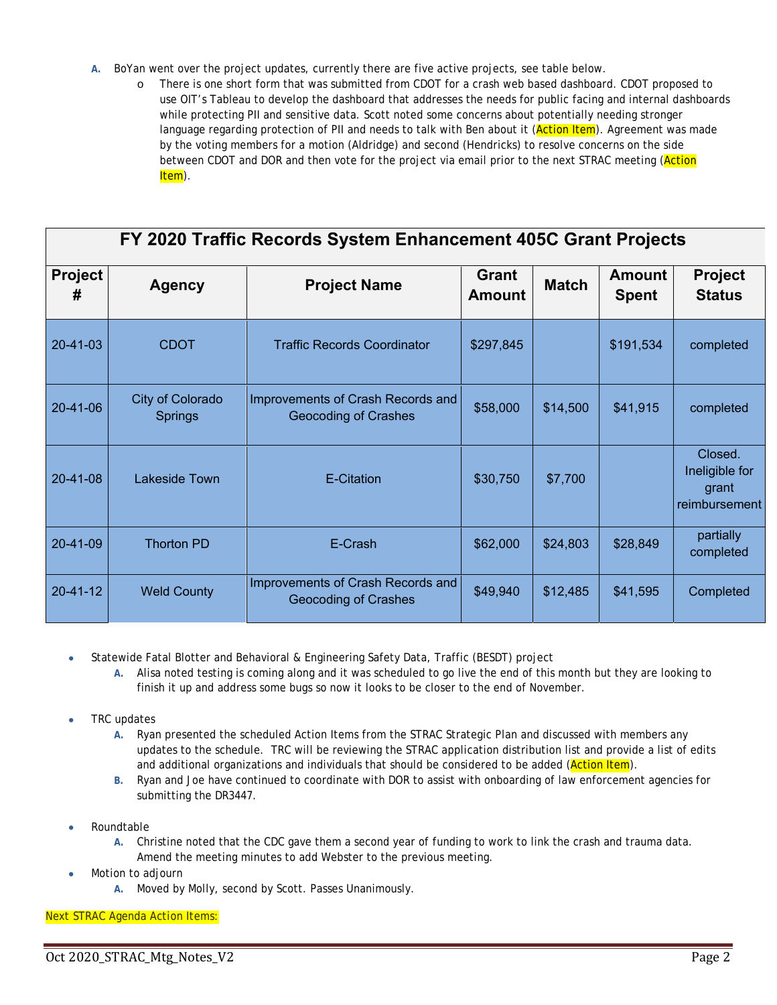- **A.** BoYan went over the project updates, currently there are five active projects, see table below.
	- o There is one short form that was submitted from CDOT for a crash web based dashboard. CDOT proposed to use OIT's Tableau to develop the dashboard that addresses the needs for public facing and internal dashboards while protecting PII and sensitive data. Scott noted some concerns about potentially needing stronger language regarding protection of PII and needs to talk with Ben about it (Action Item). Agreement was made by the voting members for a motion (Aldridge) and second (Hendricks) to resolve concerns on the side between CDOT and DOR and then vote for the project via email prior to the next STRAC meeting (Action Item).

| FY 2020 Traffic Records System Enhancement 405C Grant Projects |                                    |                                                           |                                               |          |                               |                                                     |  |  |  |  |
|----------------------------------------------------------------|------------------------------------|-----------------------------------------------------------|-----------------------------------------------|----------|-------------------------------|-----------------------------------------------------|--|--|--|--|
| <b>Project</b><br>#                                            | <b>Agency</b>                      | <b>Project Name</b>                                       | <b>Grant</b><br><b>Match</b><br><b>Amount</b> |          | <b>Amount</b><br><b>Spent</b> | <b>Project</b><br><b>Status</b>                     |  |  |  |  |
| 20-41-03                                                       | <b>CDOT</b>                        | <b>Traffic Records Coordinator</b>                        | \$297,845                                     |          | \$191,534                     | completed                                           |  |  |  |  |
| $20 - 41 - 06$                                                 | City of Colorado<br><b>Springs</b> | Improvements of Crash Records and<br>Geocoding of Crashes | \$58,000                                      | \$14,500 | \$41,915                      | completed                                           |  |  |  |  |
| 20-41-08                                                       | Lakeside Town                      | E-Citation                                                | \$30,750                                      | \$7,700  |                               | Closed.<br>Ineligible for<br>grant<br>reimbursement |  |  |  |  |
| 20-41-09                                                       | <b>Thorton PD</b>                  | E-Crash                                                   | \$62,000                                      | \$24,803 | \$28,849                      | partially<br>completed                              |  |  |  |  |
| $20 - 41 - 12$                                                 | <b>Weld County</b>                 | Improvements of Crash Records and<br>Geocoding of Crashes | \$49,940                                      | \$12,485 | \$41,595                      | Completed                                           |  |  |  |  |

- Statewide Fatal Blotter and Behavioral & Engineering Safety Data, Traffic (BESDT) project
	- **A.** Alisa noted testing is coming along and it was scheduled to go live the end of this month but they are looking to finish it up and address some bugs so now it looks to be closer to the end of November.
- TRC updates
	- **A.** Ryan presented the scheduled Action Items from the STRAC Strategic Plan and discussed with members any updates to the schedule. TRC will be reviewing the STRAC application distribution list and provide a list of edits and additional organizations and individuals that should be considered to be added (Action Item).
	- **B.** Ryan and Joe have continued to coordinate with DOR to assist with onboarding of law enforcement agencies for submitting the DR3447.
- Roundtable
	- **A.** Christine noted that the CDC gave them a second year of funding to work to link the crash and trauma data. Amend the meeting minutes to add Webster to the previous meeting.
- Motion to adjourn
	- **A.** Moved by Molly, second by Scott. Passes Unanimously.

# *Next STRAC Agenda Action Items:*